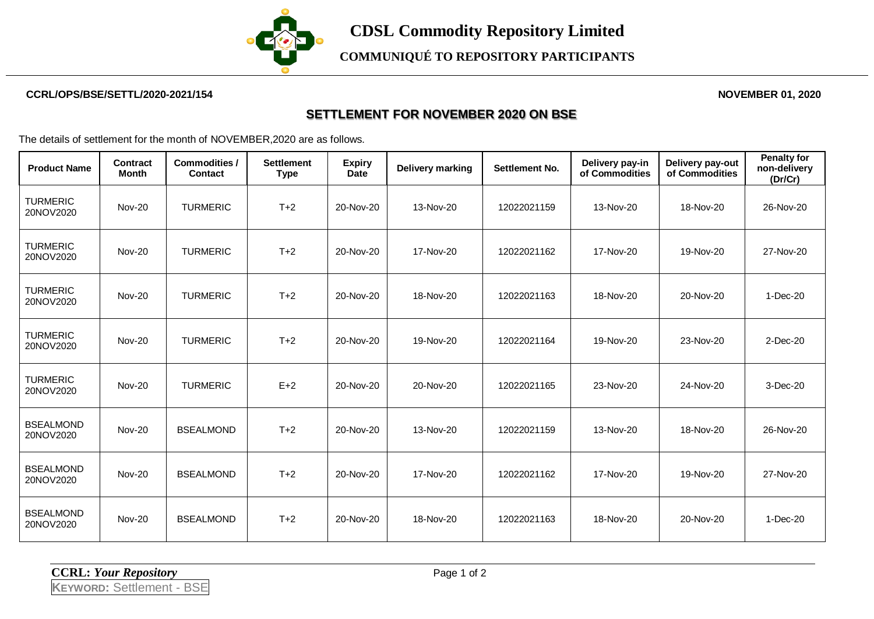

### **CCRL/OPS/BSE/SETTL/2020-2021/154 NOVEMBER 01, 2020**

### **SETTLEMENT FOR NOVEMBER 2020 ON BSE**

The details of settlement for the month of NOVEMBER,2020 are as follows.

| <b>Product Name</b>           | <b>Contract</b><br>Month | <b>Commodities /</b><br><b>Contact</b> | <b>Settlement</b><br><b>Type</b> | <b>Expiry</b><br><b>Date</b> | <b>Delivery marking</b> | Settlement No. | Delivery pay-in<br>of Commodities | Delivery pay-out<br>of Commodities | <b>Penalty for</b><br>non-delivery<br>(Dr/Cr) |
|-------------------------------|--------------------------|----------------------------------------|----------------------------------|------------------------------|-------------------------|----------------|-----------------------------------|------------------------------------|-----------------------------------------------|
| <b>TURMERIC</b><br>20NOV2020  | <b>Nov-20</b>            | <b>TURMERIC</b>                        | $T+2$                            | 20-Nov-20                    | 13-Nov-20               | 12022021159    | 13-Nov-20                         | 18-Nov-20                          | 26-Nov-20                                     |
| <b>TURMERIC</b><br>20NOV2020  | <b>Nov-20</b>            | <b>TURMERIC</b>                        | $T+2$                            | 20-Nov-20                    | 17-Nov-20               | 12022021162    | 17-Nov-20                         | 19-Nov-20                          | 27-Nov-20                                     |
| <b>TURMERIC</b><br>20NOV2020  | <b>Nov-20</b>            | <b>TURMERIC</b>                        | $T+2$                            | 20-Nov-20                    | 18-Nov-20               | 12022021163    | 18-Nov-20                         | 20-Nov-20                          | 1-Dec-20                                      |
| <b>TURMERIC</b><br>20NOV2020  | <b>Nov-20</b>            | <b>TURMERIC</b>                        | $T+2$                            | 20-Nov-20                    | 19-Nov-20               | 12022021164    | 19-Nov-20                         | 23-Nov-20                          | 2-Dec-20                                      |
| <b>TURMERIC</b><br>20NOV2020  | <b>Nov-20</b>            | <b>TURMERIC</b>                        | $E+2$                            | 20-Nov-20                    | 20-Nov-20               | 12022021165    | 23-Nov-20                         | 24-Nov-20                          | 3-Dec-20                                      |
| <b>BSEALMOND</b><br>20NOV2020 | <b>Nov-20</b>            | <b>BSEALMOND</b>                       | $T+2$                            | 20-Nov-20                    | 13-Nov-20               | 12022021159    | 13-Nov-20                         | 18-Nov-20                          | 26-Nov-20                                     |
| <b>BSEALMOND</b><br>20NOV2020 | <b>Nov-20</b>            | <b>BSEALMOND</b>                       | $T+2$                            | 20-Nov-20                    | 17-Nov-20               | 12022021162    | 17-Nov-20                         | 19-Nov-20                          | 27-Nov-20                                     |
| <b>BSEALMOND</b><br>20NOV2020 | <b>Nov-20</b>            | <b>BSEALMOND</b>                       | $T+2$                            | 20-Nov-20                    | 18-Nov-20               | 12022021163    | 18-Nov-20                         | 20-Nov-20                          | 1-Dec-20                                      |